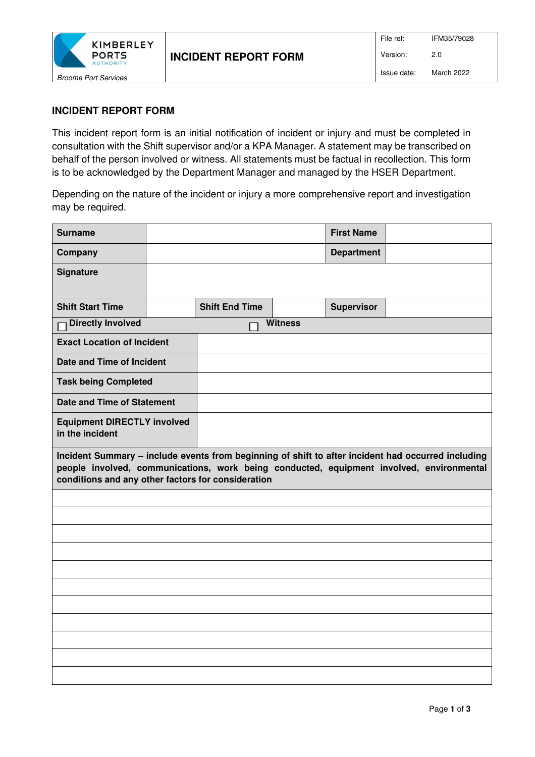

## **INCIDENT REPORT FORM**

This incident report form is an initial notification of incident or injury and must be completed in consultation with the Shift supervisor and/or a KPA Manager. A statement may be transcribed on behalf of the person involved or witness. All statements must be factual in recollection. This form is to be acknowledged by the Department Manager and managed by the HSER Department.

Depending on the nature of the incident or injury a more comprehensive report and investigation may be required.

| <b>Surname</b>                                                                                                                                                                                                                                       |  |                       |  | <b>First Name</b> |  |  |
|------------------------------------------------------------------------------------------------------------------------------------------------------------------------------------------------------------------------------------------------------|--|-----------------------|--|-------------------|--|--|
| Company                                                                                                                                                                                                                                              |  |                       |  | <b>Department</b> |  |  |
| <b>Signature</b>                                                                                                                                                                                                                                     |  |                       |  |                   |  |  |
| <b>Shift Start Time</b>                                                                                                                                                                                                                              |  | <b>Shift End Time</b> |  | <b>Supervisor</b> |  |  |
| <b>Directly Involved</b><br><b>Witness</b>                                                                                                                                                                                                           |  |                       |  |                   |  |  |
| <b>Exact Location of Incident</b>                                                                                                                                                                                                                    |  |                       |  |                   |  |  |
| Date and Time of Incident                                                                                                                                                                                                                            |  |                       |  |                   |  |  |
| <b>Task being Completed</b>                                                                                                                                                                                                                          |  |                       |  |                   |  |  |
| <b>Date and Time of Statement</b>                                                                                                                                                                                                                    |  |                       |  |                   |  |  |
| <b>Equipment DIRECTLY involved</b><br>in the incident                                                                                                                                                                                                |  |                       |  |                   |  |  |
| Incident Summary - include events from beginning of shift to after incident had occurred including<br>people involved, communications, work being conducted, equipment involved, environmental<br>conditions and any other factors for consideration |  |                       |  |                   |  |  |
|                                                                                                                                                                                                                                                      |  |                       |  |                   |  |  |
|                                                                                                                                                                                                                                                      |  |                       |  |                   |  |  |
|                                                                                                                                                                                                                                                      |  |                       |  |                   |  |  |
|                                                                                                                                                                                                                                                      |  |                       |  |                   |  |  |
|                                                                                                                                                                                                                                                      |  |                       |  |                   |  |  |
|                                                                                                                                                                                                                                                      |  |                       |  |                   |  |  |
|                                                                                                                                                                                                                                                      |  |                       |  |                   |  |  |
|                                                                                                                                                                                                                                                      |  |                       |  |                   |  |  |
|                                                                                                                                                                                                                                                      |  |                       |  |                   |  |  |
|                                                                                                                                                                                                                                                      |  |                       |  |                   |  |  |
|                                                                                                                                                                                                                                                      |  |                       |  |                   |  |  |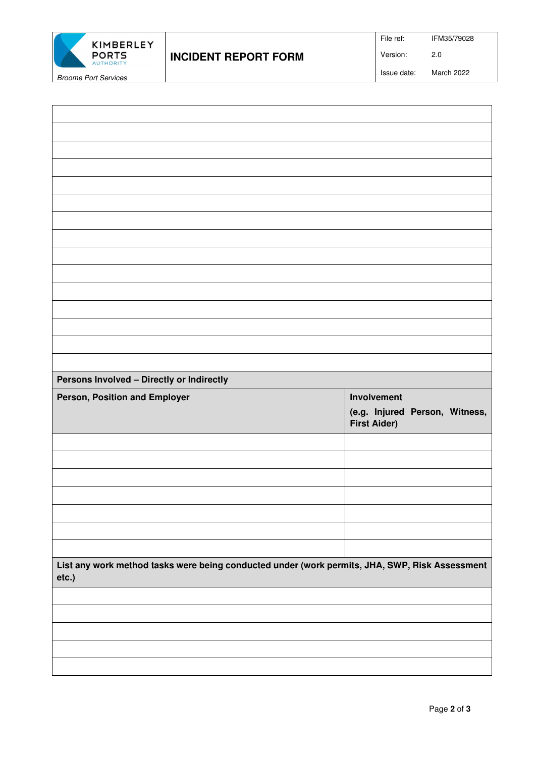

File ref: IFM35/79028

Version: 2.0

Issue date: March 2022

**Persons Involved – Directly or Indirectly Person, Position and Employer Involvement Algebra 2012 11:00 AM Algebra 2013 (e.g. Injured Person, Witness, First Aider) List any work method tasks were being conducted under (work permits, JHA, SWP, Risk Assessment etc.)**